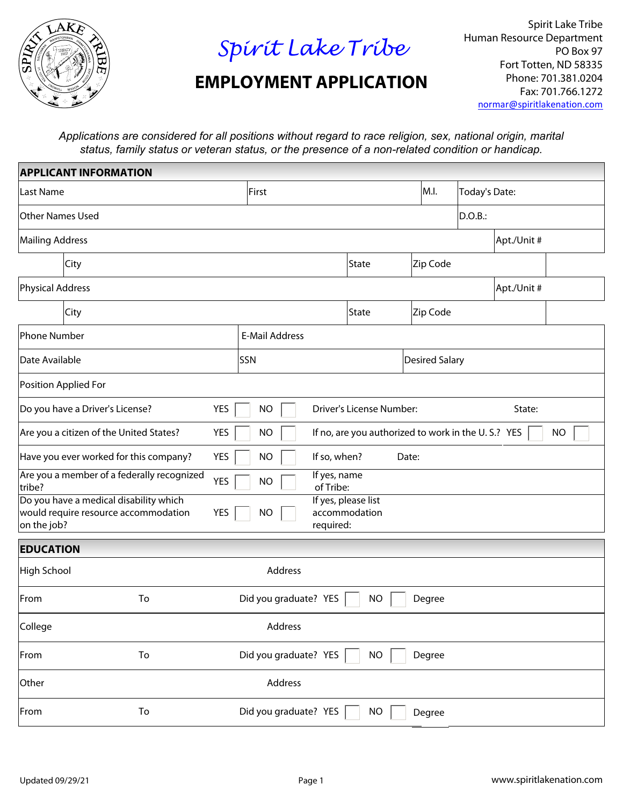

## *Spirit Lake Tribe*

## **EMPLOYMENT APPLICATION**

Spirit Lake Tribe Human Resource Department PO Box 97 Fort Totten, ND 58335 Phone: 701.381.0204 Fax: 701.766.1272 norma[r@spiritlakenation.com](mailto:normar@spiritlakenation.com)

*Applications are considered for all positions without regard to race religion, sex, national origin, marital status, family status or veteran status, or the presence of a non-related condition or handicap.*

| <b>APPLICANT INFORMATION</b>                                                                                                                                                  |                                              |                           |                                                    |               |                       |             |           |
|-------------------------------------------------------------------------------------------------------------------------------------------------------------------------------|----------------------------------------------|---------------------------|----------------------------------------------------|---------------|-----------------------|-------------|-----------|
| Last Name                                                                                                                                                                     | First                                        |                           | M.I.                                               | Today's Date: |                       |             |           |
| <b>Other Names Used</b>                                                                                                                                                       |                                              |                           |                                                    |               | DO.B.:                |             |           |
| Mailing Address                                                                                                                                                               |                                              |                           |                                                    |               |                       | Apt./Unit # |           |
| City                                                                                                                                                                          |                                              |                           | State                                              | Zip Code      |                       |             |           |
| Physical Address                                                                                                                                                              |                                              |                           |                                                    |               |                       | Apt./Unit # |           |
| City                                                                                                                                                                          |                                              |                           | State                                              | Zip Code      |                       |             |           |
| Phone Number<br><b>E-Mail Address</b>                                                                                                                                         |                                              |                           |                                                    |               |                       |             |           |
| Date Available                                                                                                                                                                |                                              | SSN                       |                                                    |               | <b>Desired Salary</b> |             |           |
| Position Applied For                                                                                                                                                          |                                              |                           |                                                    |               |                       |             |           |
| <b>YES</b><br>Driver's License Number:<br>Do you have a Driver's License?<br><b>NO</b><br>State:                                                                              |                                              |                           |                                                    |               |                       |             |           |
| Are you a citizen of the United States?                                                                                                                                       | <b>YES</b>                                   | <b>NO</b>                 | If no, are you authorized to work in the U.S.? YES |               |                       |             | <b>NO</b> |
| Have you ever worked for this company?                                                                                                                                        | <b>YES</b>                                   | If so, when?<br><b>NO</b> | Date:                                              |               |                       |             |           |
| Are you a member of a federally recognized<br>If yes, name<br><b>YES</b><br><b>NO</b><br>of Tribe:<br>tribe?                                                                  |                                              |                           |                                                    |               |                       |             |           |
| Do you have a medical disability which<br>If yes, please list<br>would require resource accommodation<br><b>YES</b><br>accommodation<br><b>NO</b><br>on the job?<br>required: |                                              |                           |                                                    |               |                       |             |           |
| <b>EDUCATION</b>                                                                                                                                                              |                                              |                           |                                                    |               |                       |             |           |
| Address<br>High School                                                                                                                                                        |                                              |                           |                                                    |               |                       |             |           |
| To<br>From                                                                                                                                                                    | Did you graduate? YES<br><b>NO</b><br>Degree |                           |                                                    |               |                       |             |           |
| College<br>Address                                                                                                                                                            |                                              |                           |                                                    |               |                       |             |           |
| To<br>From                                                                                                                                                                    | Did you graduate? YES<br>Degree<br><b>NO</b> |                           |                                                    |               |                       |             |           |
| Address<br>Other                                                                                                                                                              |                                              |                           |                                                    |               |                       |             |           |
| From<br>To                                                                                                                                                                    | Did you graduate? YES<br><b>NO</b><br>Degree |                           |                                                    |               |                       |             |           |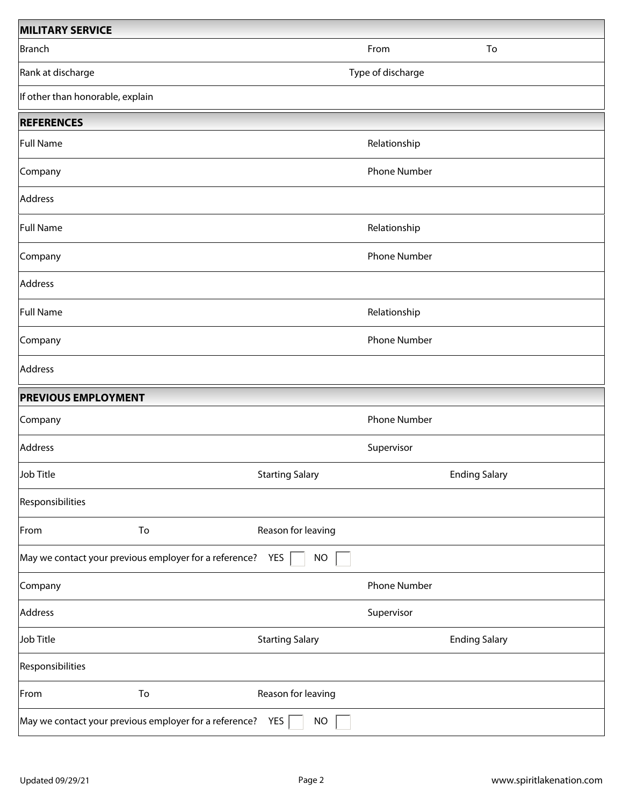| <b>MILITARY SERVICE</b>                                |                   |                        |                     |                      |
|--------------------------------------------------------|-------------------|------------------------|---------------------|----------------------|
| Branch                                                 |                   |                        | From                | To                   |
| Rank at discharge                                      | Type of discharge |                        |                     |                      |
| If other than honorable, explain                       |                   |                        |                     |                      |
| <b>REFERENCES</b>                                      |                   |                        |                     |                      |
| Full Name                                              |                   |                        | Relationship        |                      |
| Company                                                |                   |                        | Phone Number        |                      |
| Address                                                |                   |                        |                     |                      |
| Full Name                                              |                   |                        | Relationship        |                      |
| Company                                                |                   |                        | <b>Phone Number</b> |                      |
| Address                                                |                   |                        |                     |                      |
| Full Name                                              |                   |                        | Relationship        |                      |
| Company                                                |                   |                        | Phone Number        |                      |
| Address                                                |                   |                        |                     |                      |
| <b>PREVIOUS EMPLOYMENT</b>                             |                   |                        |                     |                      |
| Company                                                |                   |                        | Phone Number        |                      |
| Address                                                |                   |                        | Supervisor          |                      |
| Job Title                                              |                   | <b>Starting Salary</b> |                     | <b>Ending Salary</b> |
| Responsibilities                                       |                   |                        |                     |                      |
| From                                                   | To                | Reason for leaving     |                     |                      |
| May we contact your previous employer for a reference? |                   | YES<br><b>NO</b>       |                     |                      |
| Company                                                |                   |                        | Phone Number        |                      |
| Address                                                |                   |                        | Supervisor          |                      |
| Job Title                                              |                   | <b>Starting Salary</b> |                     | <b>Ending Salary</b> |
| Responsibilities                                       |                   |                        |                     |                      |
| From                                                   | To                | Reason for leaving     |                     |                      |
| May we contact your previous employer for a reference? |                   | YES<br><b>NO</b>       |                     |                      |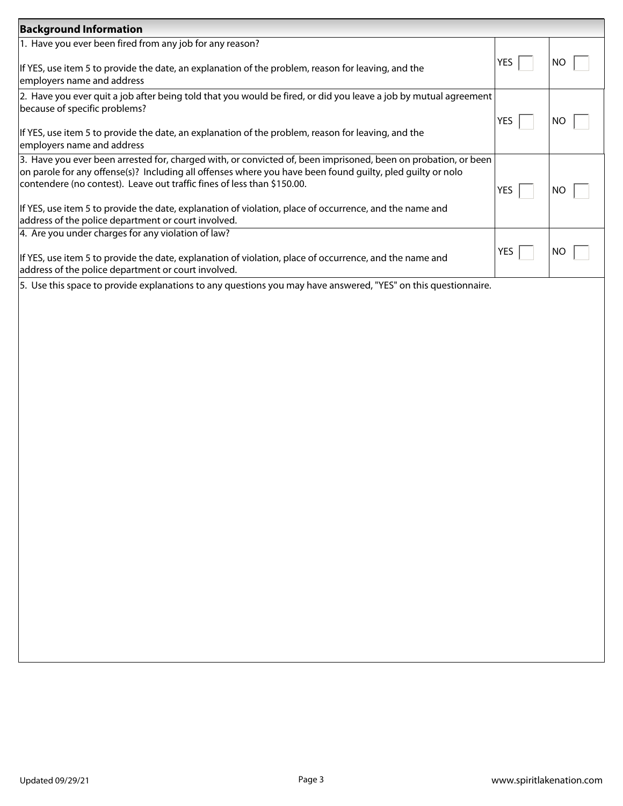| <b>Background Information</b>                                                                                                                                                                                                                                                                                                                                                                                                                                             |            |           |
|---------------------------------------------------------------------------------------------------------------------------------------------------------------------------------------------------------------------------------------------------------------------------------------------------------------------------------------------------------------------------------------------------------------------------------------------------------------------------|------------|-----------|
| 1. Have you ever been fired from any job for any reason?<br>If YES, use item 5 to provide the date, an explanation of the problem, reason for leaving, and the<br>employers name and address                                                                                                                                                                                                                                                                              | <b>YES</b> | <b>NO</b> |
| 2. Have you ever quit a job after being told that you would be fired, or did you leave a job by mutual agreement<br>because of specific problems?<br>If YES, use item 5 to provide the date, an explanation of the problem, reason for leaving, and the<br>employers name and address                                                                                                                                                                                     | YES        | NO        |
| 3. Have you ever been arrested for, charged with, or convicted of, been imprisoned, been on probation, or been<br>on parole for any offense(s)? Including all offenses where you have been found guilty, pled guilty or nolo<br>contendere (no contest). Leave out traffic fines of less than \$150.00.<br>If YES, use item 5 to provide the date, explanation of violation, place of occurrence, and the name and<br>address of the police department or court involved. | <b>YES</b> | NO        |
| 4. Are you under charges for any violation of law?<br>If YES, use item 5 to provide the date, explanation of violation, place of occurrence, and the name and<br>address of the police department or court involved.                                                                                                                                                                                                                                                      | YES        | NO        |
| 5. Use this space to provide explanations to any questions you may have answered, "YES" on this questionnaire.                                                                                                                                                                                                                                                                                                                                                            |            |           |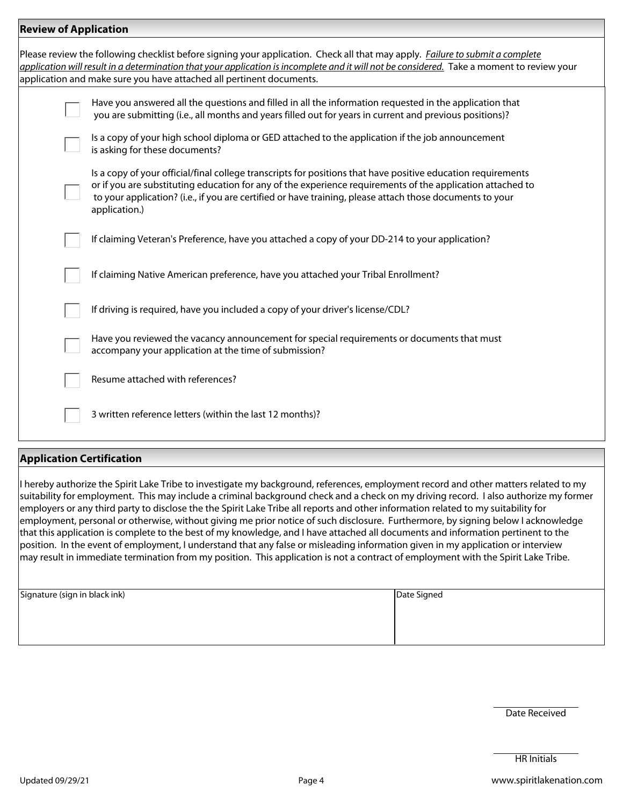| <b>Review of Application</b> |                                                                                                                                                                                                                                                                                                                                                         |
|------------------------------|---------------------------------------------------------------------------------------------------------------------------------------------------------------------------------------------------------------------------------------------------------------------------------------------------------------------------------------------------------|
|                              | Please review the following checklist before signing your application. Check all that may apply. Failure to submit a complete<br>application will result in a determination that your application is incomplete and it will not be considered. Take a moment to review your<br>application and make sure you have attached all pertinent documents.     |
|                              | Have you answered all the questions and filled in all the information requested in the application that<br>you are submitting (i.e., all months and years filled out for years in current and previous positions)?                                                                                                                                      |
|                              | Is a copy of your high school diploma or GED attached to the application if the job announcement<br>is asking for these documents?                                                                                                                                                                                                                      |
|                              | Is a copy of your official/final college transcripts for positions that have positive education requirements<br>or if you are substituting education for any of the experience requirements of the application attached to<br>to your application? (i.e., if you are certified or have training, please attach those documents to your<br>application.) |
|                              | If claiming Veteran's Preference, have you attached a copy of your DD-214 to your application?                                                                                                                                                                                                                                                          |
|                              | If claiming Native American preference, have you attached your Tribal Enrollment?                                                                                                                                                                                                                                                                       |
|                              | If driving is required, have you included a copy of your driver's license/CDL?                                                                                                                                                                                                                                                                          |
|                              | Have you reviewed the vacancy announcement for special requirements or documents that must<br>accompany your application at the time of submission?                                                                                                                                                                                                     |
|                              | Resume attached with references?                                                                                                                                                                                                                                                                                                                        |
|                              | 3 written reference letters (within the last 12 months)?                                                                                                                                                                                                                                                                                                |
|                              |                                                                                                                                                                                                                                                                                                                                                         |

## **Application Certification**

I hereby authorize the Spirit Lake Tribe to investigate my background, references, employment record and other matters related to my suitability for employment. This may include a criminal background check and a check on my driving record. I also authorize my former employers or any third party to disclose the the Spirit Lake Tribe all reports and other information related to my suitability for employment, personal or otherwise, without giving me prior notice of such disclosure. Furthermore, by signing below I acknowledge that this application is complete to the best of my knowledge, and I have attached all documents and information pertinent to the position. In the event of employment, I understand that any false or misleading information given in my application or interview  $|$ may result in immediate termination from my position. This application is not a contract of employment with the Spirit Lake Tribe.

| Signature (sign in black ink) | Date Signed |  |
|-------------------------------|-------------|--|
|                               |             |  |
|                               |             |  |
|                               |             |  |

Date Received